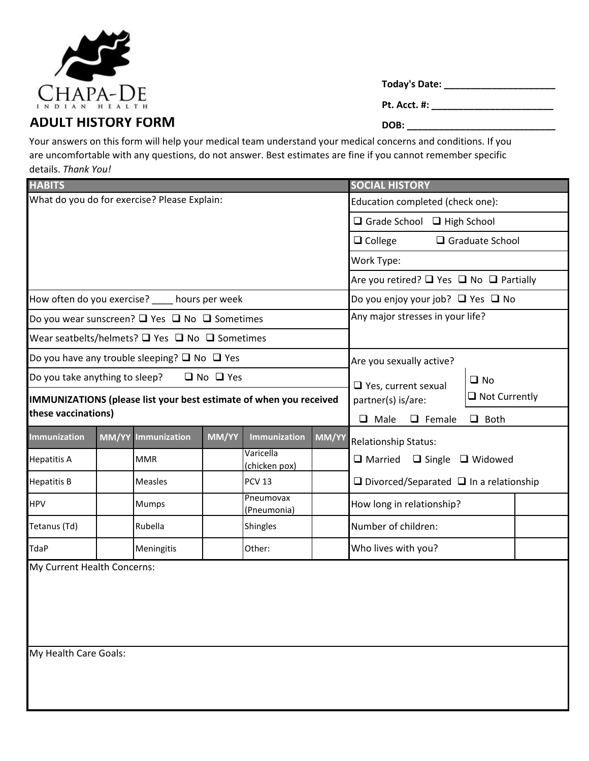

**Today's Date: \_\_\_\_\_\_\_\_\_\_\_\_\_\_\_\_\_\_\_\_\_**

**Pt. Acct. #: \_\_\_\_\_\_\_\_\_\_\_\_\_\_\_\_\_\_\_\_\_\_\_**

Your answers on this form will help your medical team understand your medical concerns and conditions. If you are uncomfortable with any questions, do not answer. Best estimates are fine if you cannot remember specific details. *Thank You!*

| <b>HABITS</b>                                                                             |  |                |  |                            |  | <b>SOCIAL HISTORY</b>                                                                                                                   |  |                     |
|-------------------------------------------------------------------------------------------|--|----------------|--|----------------------------|--|-----------------------------------------------------------------------------------------------------------------------------------------|--|---------------------|
| What do you do for exercise? Please Explain:                                              |  |                |  |                            |  | Education completed (check one):                                                                                                        |  |                     |
|                                                                                           |  |                |  |                            |  | $\Box$ Grade School $\Box$ High School                                                                                                  |  |                     |
|                                                                                           |  |                |  |                            |  | $\Box$ Graduate School<br>$\Box$ College                                                                                                |  |                     |
|                                                                                           |  |                |  |                            |  | Work Type:                                                                                                                              |  |                     |
|                                                                                           |  |                |  |                            |  | Are you retired? $\Box$ Yes $\Box$ No $\Box$ Partially                                                                                  |  |                     |
| How often do you exercise? ____ hours per week                                            |  |                |  |                            |  | Do you enjoy your job? $\Box$ Yes $\Box$ No                                                                                             |  |                     |
| Do you wear sunscreen? $\Box$ Yes $\Box$ No $\Box$ Sometimes                              |  |                |  |                            |  | Any major stresses in your life?                                                                                                        |  |                     |
| Wear seatbelts/helmets? $\Box$ Yes $\Box$ No $\Box$ Sometimes                             |  |                |  |                            |  |                                                                                                                                         |  |                     |
| Do you have any trouble sleeping? $\square$ No $\square$ Yes                              |  |                |  |                            |  | Are you sexually active?                                                                                                                |  |                     |
| Do you take anything to sleep?<br>$\Box$ No $\Box$ Yes                                    |  |                |  |                            |  | $\square$ No<br>$\Box$ Yes, current sexual<br>$\Box$ Not Currently<br>partner(s) is/are:<br>$\Box$ Both<br>$\Box$ Male<br>$\Box$ Female |  |                     |
| IMMUNIZATIONS (please list your best estimate of when you received<br>these vaccinations) |  |                |  |                            |  |                                                                                                                                         |  |                     |
|                                                                                           |  |                |  |                            |  |                                                                                                                                         |  | <b>Immunization</b> |
| <b>Hepatitis A</b>                                                                        |  | <b>MMR</b>     |  | Varicella<br>(chicken pox) |  | $\Box$ Married $\Box$ Single $\Box$ Widowed                                                                                             |  |                     |
| <b>Hepatitis B</b>                                                                        |  | <b>Measles</b> |  | <b>PCV 13</b>              |  | $\Box$ Divorced/Separated $\Box$ In a relationship                                                                                      |  |                     |
| <b>HPV</b>                                                                                |  | Mumps          |  | Pneumovax<br>(Pneumonia)   |  | How long in relationship?                                                                                                               |  |                     |
| Tetanus (Td)                                                                              |  | Rubella        |  | Shingles                   |  | Number of children:                                                                                                                     |  |                     |
| TdaP                                                                                      |  | Meningitis     |  | Other:                     |  | Who lives with you?                                                                                                                     |  |                     |
| My Current Health Concerns:<br>My Health Care Goals:                                      |  |                |  |                            |  |                                                                                                                                         |  |                     |